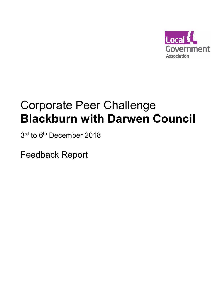

# Corporate Peer Challenge **Blackburn with Darwen Council**

3<sup>rd</sup> to 6<sup>th</sup> December 2018

Feedback Report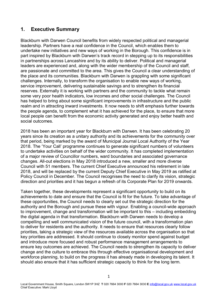# **1. Executive Summary**

Blackburn with Darwen Council benefits from widely respected political and managerial leadership. Partners have a real confidence in the Council, which enables them to undertake new initiatives and new ways of working in the Borough. This confidence is in part inspired by Blackburn with Darwen's track record in stepping up to its responsibilities in partnerships across Lancashire and by its ability to deliver. Political and managerial leaders are experienced and, along with the wider membership of the Council and staff, are passionate and committed to the area. This gives the Council a clear understanding of the place and its communities. Blackburn with Darwen is grappling with some significant challenges. Internally, to transform the organisation to enable new ways of working, service improvement, delivering sustainable savings and to strengthen its financial reserves. Externally it is working with partners and the community to tackle what remain some very poor health indicators, low incomes and other social challenges. The Council has helped to bring about some significant improvements in infrastructure and the public realm and in attracting inward investments. It now needs to shift emphasis further towards the people agenda, to complement what it has achieved for the place, to ensure that more local people can benefit from the economic activity generated and enjoy better health and social outcomes.

2018 has been an important year for Blackburn with Darwen. It has been celebrating 20 years since its creation as a unitary authority and its achievements for the community over that period, being marked by the award of Municipal Journal Local Authority of the Year 2018. The 'Your Call' programme continues to generate significant numbers of volunteers to undertake activities on behalf of the wider community. It has completed implementation of a major review of Councillor numbers, ward boundaries and associated governance changes. All-out elections in May 2018 introduced a new, smaller and more diverse Council with 51 members. The current Chief Executive announced his retirement in late 2018, and will be replaced by the current Deputy Chief Executive in May 2019 as ratified at Policy Council in December. The Council recognises the need to clarify its vision, strategic direction and priorities and it has begun a refresh of its Corporate Plan for 2019 onwards.

Taken together, these developments represent a significant opportunity to build on its achievements to date and ensure that the Council is fit for the future. To take advantage of these opportunities, the Council needs to clearly set out the strategic direction for the authority and the Borough and pursue these with vigour. Enabling a council-wide approach to improvement, change and transformation will be important to this – including embedding the digital agenda in that transformation. Blackburn with Darwen needs to develop a compelling and well communicated vision of the future council, with a transformation plan to deliver for residents and the authority. It needs to ensure that resources clearly follow priorities, taking a strategic view of the resources available across the organisation so that key priorities are addressed. It should continue to closely monitor spend against budget and introduce more focused and robust performance management arrangements to ensure key outcomes are achieved. The Council needs to strengthen its capacity to deliver change and the culture to embrace this through effective organisational development and workforce planning, to build on the progress it has already made in developing its talent. It should also ensure that it has sufficient strategic capacity to think for the long term.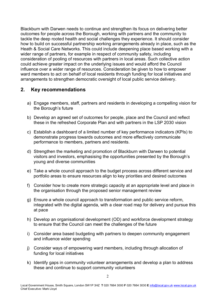Blackburn with Darwen needs to continue and strengthen its focus on delivering better outcomes for people across the Borough, working with partners and the community to tackle the deep rooted health and social challenges they experience. It should consider how to build on successful partnership working arrangements already in place, such as the Heath & Social Care Networks. This could include deepening place based working with a wider range of partners, for example in respect of community safety, including consideration of pooling of resources with partners in local areas. Such collective action could achieve greater impact on the underlying issues and would afford the Council influence over a wider range of resources. Consideration be given to how to empower ward members to act on behalf of local residents through funding for local initiatives and arrangements to strengthen democratic oversight of local public service delivery.

# **2. Key recommendations**

- a) Engage members, staff, partners and residents in developing a compelling vision for the Borough's future
- b) Develop an agreed set of outcomes for people, place and the Council and reflect these in the refreshed Corporate Plan and with partners in the LSP 2030 vision
- c) Establish a dashboard of a limited number of key performance indicators (KPIs) to demonstrate progress towards outcomes and more effectively communicate performance to members, partners and residents.
- d) Strengthen the marketing and promotion of Blackburn with Darwen to potential visitors and investors, emphasising the opportunities presented by the Borough's young and diverse communities
- e) Take a whole council approach to the budget process across different service and portfolio areas to ensure resources align to key priorities and desired outcomes
- f) Consider how to create more strategic capacity at an appropriate level and place in the organisation through the proposed senior management review
- g) Ensure a whole council approach to transformation and public service reform, integrated with the digital agenda, with a clear road map for delivery and pursue this at pace
- h) Develop an organisational development (OD) and workforce development strategy to ensure that the Council can meet the challenges of the future
- i) Consider area based budgeting with partners to deepen community engagement and influence wider spending
- j) Consider ways of empowering ward members, including through allocation of funding for local initiatives
- k) Identify gaps in community volunteer arrangements and develop a plan to address these and continue to support community volunteers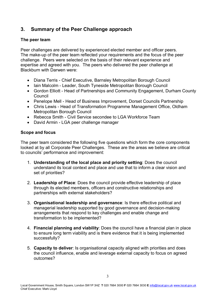# **3. Summary of the Peer Challenge approach**

#### **The peer team**

Peer challenges are delivered by experienced elected member and officer peers. The make-up of the peer team reflected your requirements and the focus of the peer challenge. Peers were selected on the basis of their relevant experience and expertise and agreed with you. The peers who delivered the peer challenge at Blackburn with Darwen were:

- Diana Terris Chief Executive, Barnsley Metropolitan Borough Council
- Iain Malcolm Leader, South Tyneside Metropolitan Borough Council
- Gordon Elliott Head of Partnerships and Community Engagement, Durham County Council
- Penelope Mell Head of Business Improvement, Dorset Councils Partnership
- Chris Lewis Head of Transformation Programme Management Office, Oldham Metropolitan Borough Council
- Rebecca Smith Civil Service secondee to LGA Workforce Team
- David Armin LGA peer challenge manager

#### **Scope and focus**

The peer team considered the following five questions which form the core components looked at by all Corporate Peer Challenges. These are the areas we believe are critical to councils' performance and improvement:

- 1. **Understanding of the local place and priority setting**: Does the council understand its local context and place and use that to inform a clear vision and set of priorities?
- 2. **Leadership of Place**: Does the council provide effective leadership of place through its elected members, officers and constructive relationships and partnerships with external stakeholders?
- 3. **Organisational leadership and governance**: Is there effective political and managerial leadership supported by good governance and decision-making arrangements that respond to key challenges and enable change and transformation to be implemented?
- 4. **Financial planning and viability**: Does the council have a financial plan in place to ensure long term viability and is there evidence that it is being implemented successfully?
- 5. **Capacity to deliver**: Is organisational capacity aligned with priorities and does the council influence, enable and leverage external capacity to focus on agreed outcomes?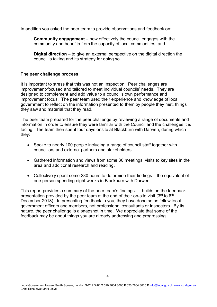In addition you asked the peer team to provide observations and feedback on:

**Community engagement** – how effectively the council engages with the community and benefits from the capacity of local communities; and

**Digital direction** – to give an external perspective on the digital direction the council is taking and its strategy for doing so.

#### **The peer challenge process**

It is important to stress that this was not an inspection. Peer challenges are improvement-focused and tailored to meet individual councils' needs. They are designed to complement and add value to a council's own performance and improvement focus. The peer team used their experience and knowledge of local government to reflect on the information presented to them by people they met, things they saw and material that they read.

The peer team prepared for the peer challenge by reviewing a range of documents and information in order to ensure they were familiar with the Council and the challenges it is facing. The team then spent four days onsite at Blackburn with Darwen, during which they:

- Spoke to nearly 100 people including a range of council staff together with councillors and external partners and stakeholders.
- Gathered information and views from some 30 meetings, visits to key sites in the area and additional research and reading.
- Collectively spent some 280 hours to determine their findings the equivalent of one person spending eight weeks in Blackburn with Darwen.

This report provides a summary of the peer team's findings. It builds on the feedback presentation provided by the peer team at the end of their on-site visit  $(3<sup>rd</sup>$  to  $6<sup>th</sup>$ December 2018). In presenting feedback to you, they have done so as fellow local government officers and members, not professional consultants or inspectors. By its nature, the peer challenge is a snapshot in time. We appreciate that some of the feedback may be about things you are already addressing and progressing.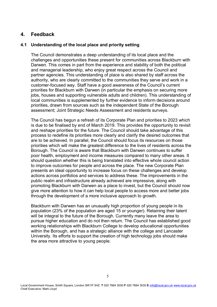### **4. Feedback**

#### **4.1 Understanding of the local place and priority setting**

The Council demonstrates a deep understanding of its local place and the challenges and opportunities these present for communities across Blackburn with Darwen. This comes in part from the experience and stability of both the political and managerial leadership, who enjoy great respect across the Council and partner agencies. This understanding of place is also shared by staff across the authority, who are clearly committed to the communities they serve and work in a customer-focused way. Staff have a good awareness of the Council's current priorities for Blackburn with Darwen (in particular the emphasis on securing more jobs, houses and supporting vulnerable adults and children). This understanding of local communities is supplemented by further evidence to inform decisions around priorities, drawn from sources such as the independent State of the Borough assessment; Joint Strategic Needs Assessment and residents surveys.

The Council has begun a refresh of its Corporate Plan and priorities to 2023 which is due to be finalised by end of March 2019. This provides the opportunity to revisit and reshape priorities for the future. The Council should take advantage of this process to redefine its priorities more clearly and clarify the desired outcomes that are to be achieved. In parallel, the Council should focus its resources on those priorities which will make the greatest difference to the lives of residents across the Borough. The Council is aware that Blackburn with Darwen continues to suffer poor health, employment and income measures compared to many other areas. It should question whether this is being translated into effective whole council action to improve outcomes for people and across the place. The new Corporate Plan presents an ideal opportunity to increase focus on these challenges and develop actions across portfolios and services to address these. The improvements in the public realm and infrastructure already achieved are impressive, along with promoting Blackburn with Darwen as a place to invest, but the Council should now give more attention to how it can help local people to access more and better jobs through the development of a more inclusive approach to growth.

Blackburn with Darwen has an unusually high proportion of young people in its population (23% of the population are aged 15 or younger). Retaining their talent will be integral to the future of the Borough. Currently many leave the area to pursue higher education and do not then return. The Council has established good working relationships with Blackburn College to develop educational opportunities within the Borough, and has a strategic alliance with the college and Lancaster University. Its efforts to support the creation of high technology jobs should make the area more attractive to young people.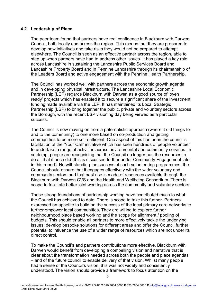#### **4.2 Leadership of Place**

The peer team found that partners have real confidence in Blackburn with Darwen Council, both locally and across the region. This means that they are prepared to develop new initiatives and take risks they would not be prepared to attempt elsewhere. The Council is seen as an effective partner across the region, able to step up when partners have had to address other issues. It has played a key role across Lancashire in sustaining the Lancashire Public Services Board and Lancashire Property Board and in Pennine Lancashire through its chairmanship of the Leaders Board and active engagement with the Pennine Health Partnership.

The Council has worked well with partners across the economic growth agenda and in developing physical infrastructure. The Lancashire Local Economic Partnership (LEP) regards Blackburn with Darwen as a good source of 'oven ready' projects which has enabled it to secure a significant share of the investment funding made available via the LEP. It has maintained its Local Strategic Partnership (LSP) to bring together the public, private and voluntary sectors across the Borough, with the recent LSP visioning day being viewed as a particular success.

The Council is now moving on from a paternalistic approach (where it did things for and to the community) to one more based on co-production and getting communities to be more self-sufficient. One aspect of this has been the council's facilitation of the 'Your Call' initiative which has seen hundreds of people volunteer to undertake a range of activities across environmental and community services. In so doing, people are recognising that the Council no longer has the resources to do all that it once did (this is discussed further under Community Engagement later in this report). Notwithstanding the success of such volunteering programmes, the Council should ensure that it engages effectively with the wider voluntary and community sectors and that best use is made of resources available through the Blackburn with Darwen CVS and the Health and Wellbeing Consortium. There is scope to facilitate better joint working across the community and voluntary sectors.

These strong foundations of partnership working have contributed much to what the Council has achieved to date. There is scope to take this further. Partners expressed an appetite to build on the success of the local primary care networks to further empower local communities. They are willing to explore further neighbourhood place based working and the scope for alignment / pooling of budgets. This should enable all partners to more effectively tackle the underlying issues; develop bespoke solutions for different areas and offer the Council further potential to influence the use of a wider range of resources which are not under its direct control.

To make the Council's and partners contributions more effective, Blackburn with Darwen would benefit from developing a compelling vision and narrative that is clear about the transformation needed across both the people and place agendas – and of the future council to enable delivery of that vision. Whilst many people had a sense of the Council's vision, this was not widely and consistently understood. The vision should provide a framework to focus attention on the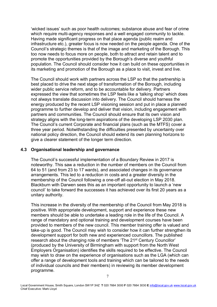'wicked issues' such as poor health outcomes; substance abuse and fear of crime which require multi-agency responses and a well engaged community to tackle. Having made significant progress on that place agenda (public realm and infrastructure etc.), greater focus is now needed on the people agenda. One of the Council's strategic themes is that of the image and marketing of the Borough. This too now needs to focus more on people, both to attract and retain talent and to promote the opportunities provided by the Borough's diverse and youthful population. The Council should consider how it can build on these opportunities in its marketing and promotion of the Borough as a place to visit, invest and live.

The Council should work with partners across the LSP so that the partnership is best placed to drive the next stage of transformation of the Borough, including wider public service reform, and to be accountable for delivery. Partners expressed the view that sometimes the LSP feels like a 'talking shop' which does not always translate discussion into delivery. The Council should harness the energy produced by the recent LSP visioning session and put in place a planned programme to further develop and deliver that vision, including engagement with partners and communities. The Council should ensure that its own vision and strategy aligns with the long-term aspirations of the developing LSP 2030 plan. The Council's current Corporate and financial plans (such as the MTFS) cover a three year period. Notwithstanding the difficulties presented by uncertainty over national policy direction, the Council should extend its own planning horizons to give a clearer statement of the longer term direction.

#### **4.3 Organisational leadership and governance**

The Council's successful implementation of a Boundary Review in 2017 is noteworthy. This saw a reduction in the number of members on the Council from 64 to 51 (and from 23 to 17 wards), and associated changes in its governance arrangements. This led to a reduction in costs and a greater diversity in the membership of the Council following a one-off all-out election in May 2018. Blackburn with Darwen sees this as an important opportunity to launch a 'new council' to take forward the successes it has achieved over its first 20 years as a unitary authority.

This increase in the diversity of the membership of the Council from May 2018 is positive. With appropriate development, support and experience these new members should be able to undertake a leading role in the life of the Council. A range of mandatory and optional training and development courses have been provided to members of the new council. This member training offer is valued and take-up is good. The Council may wish to consider how it can further strengthen its development support for both new and experienced councillors. The published research about the changing role of members 'The 21<sup>st</sup> Century Councillor' (produced by the University of Birmingham with support from the North West Employers Organisation) identifies the skills required to be effective. The Council may wish to draw on the experience of organisations such as the LGA (which can offer a range of development tools and training which can be tailored to the needs of individual councils and their members) in reviewing its member development programme.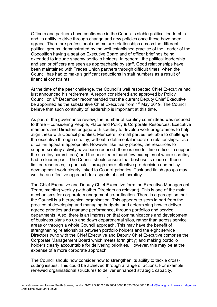Officers and partners have confidence in the Council's stable political leadership and its ability to drive through change and new policies once these have been agreed. There are professional and mature relationships across the different political groups, demonstrated by the well established practice of the Leader of the Opposition having a seat on Executive Board and of officer briefings being extended to include shadow portfolio holders. In general, the political leadership and senior officers are seen as approachable by staff. Good relationships have been maintained with Trades Union partners through difficult times, when the Council has had to make significant reductions in staff numbers as a result of financial constraints.

At the time of the peer challenge, the Council's well respected Chief Executive had just announced his retirement. A report considered and approved by Policy Council on 6th December recommended that the current Deputy Chief Executive be appointed as the substantive Chief Executive from 1<sup>st</sup> May 2019. The Council believe that such continuity of leadership is important at this time.

As part of the governance review, the number of scrutiny committees was reduced to three – considering People, Place and Policy & Corporate Resources. Executive members and Directors engage with scrutiny to develop work programmes to help align these with Council priorities. Members from all parties feel able to challenge the executive through scrutiny, without a detrimental impact on relationships. Use of call-in appears appropriate. However, like many places, the resources to support scrutiny activity have been reduced (there is one full time officer to support the scrutiny committees) and the peer team found few examples of where scrutiny had a clear impact. The Council should ensure that best use is made of these limited resources, in particular through more effective pre-decision and policy development work clearly linked to Council priorities. Task and finish groups may well be an effective approach for aspects of such scrutiny.

The Chief Executive and Deputy Chief Executive form the Executive Management Team, meeting weekly (with other Directors as relevant). This is one of the main mechanisms for corporate management co-ordination. There is a perception that the Council is a hierarchical organisation. This appears to stem in part from the practice of developing and managing budgets, and determining how to deliver agreed priorities and manage performance, through portfolios and service departments. Also, there is an impression that communications and development of business plans go up and down departmental silos, rather than across service areas or through a whole Council approach. This may have the benefit of strengthening relationships between portfolio holders and the eight service Directors (who with the Chief Executive and Deputy Chief Executive comprise the Corporate Management Board which meets fortnightly) and making portfolio holders clearly accountable for delivering priorities. However, this may be at the expense of a more corporate approach.

The Council should now consider how to strengthen its ability to tackle crosscutting issues. This could be achieved through a range of actions. For example, renewed organisational structures to deliver enhanced strategic capacity,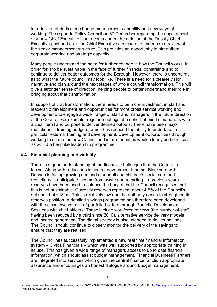introduction of dedicated change management capability and new ways of working. The report to Policy Council on  $6<sup>th</sup>$  December regarding the appointment of a new Chief Executive also recommended the deletion of the Deputy Chief Executive post and asks the Chief Executive designate to undertake a review of the senior management structure. This provides an opportunity to strengthen corporate working and strategic capacity.

Many people understand the need for further change in how the Council works, in order for it to be sustainable in the face of further financial constraints and to continue to deliver better outcomes for the Borough. However, there is uncertainty as to what the future council may look like. There is a need for a clearer vision, narrative and plan around the next stages of whole council transformation. This will give a stronger sense of direction, helping people to better understand their role in bringing about that transformation.

In support of that transformation, there needs to be more investment in staff and leadership development and opportunities for more cross service working and development, to engage a wider range of staff and managers in the future direction of the Council. For example, regular meetings of a cohort of middle managers with a clear remit and purpose to deliver defined outputs. There have been major reductions in training budgets, which has reduced the ability to undertake in particular external training and development. Development opportunities through working to shape the new Council and inform priorities would clearly be beneficial, as would a bespoke leadership programme.

#### **4.4 Financial planning and viability**

There is a good understanding of the financial challenges that the Council is facing. Along with reductions in central government funding, Blackburn with Darwen is facing growing demands for adult and children's social care and reductions in anticipated income from waste and recycling. In previous years reserves have been used to balance the budget, but the Council recognises that this is not sustainable. Currently reserves represent about 4.5% of the Council's net spend of £131m. This is relatively low and the authority needs to strengthen its reserves position. A detailed savings programme has therefore been developed with the close involvement of portfolio holders through Portfolio Development Sessions with chief officers. These include workforce reviews (the number of staff having been reduced by a third since 2010), alternative service delivery models and income generation. The digital strategy is also intended to deliver savings. The Council should continue to closely monitor the delivery of the savings to ensure that they are realised.

The Council has successfully implemented a new real time financial information system – Civica Financials – which was well supported by appropriate training in its use. This has given a wide range of managers access to up to date financial information, which should assist budget management. Financial Business Partners are integrated into services which gives the central finance function appropriate assurance and encourages an honest dialogue around budget management.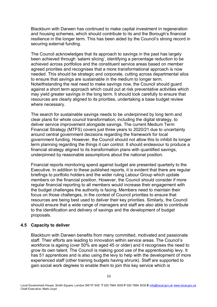Blackburn with Darwen has continued to make capital investment in regeneration and housing schemes, which should contribute to its and the Borough's financial resilience in the longer term. This has been aided by the Council's strong record in securing external funding.

The Council acknowledges that its approach to savings in the past has largely been achieved through 'salami slicing', identifying a percentage reduction to be achieved across portfolios and the constituent service areas based on member agreed priorities and recognises that a more transformational approach is now needed. This should be strategic and corporate, cutting across departmental silos to ensure that savings are sustainable in the medium to longer term. Notwithstanding the real need to make savings now, the Council should guard against a short term approach which could put at risk preventative activities which may yield greater savings in the long term. It should look carefully to ensure that resources are clearly aligned to its priorities, undertaking a base budget review where necessary.

The search for sustainable savings needs to be underpinned by long term and clear plans for whole council transformation, including the digital strategy, to deliver service improvement alongside savings. The current Medium Term Financial Strategy (MTFS) covers just three years to 2020/21 due to uncertainty around central government decisions regarding the framework for local government funding. However, the Council should not allow this to inhibit its longer term planning regarding the things it can control. It should endeavour to produce a financial strategy aligned to its transformation plans with quantified savings, underpinned by reasonable assumptions about the national position.

Financial reports monitoring spend against budget are presented quarterly to the Executive. In addition to these published reports, it is evident that there are regular briefings to portfolio holders and the wider ruling Labour Group which update members on the financial position. However, the Council should consider if more regular financial reporting to all members would increase their engagement with the budget challenges the authority is facing. Members need to maintain their focus on those challenges, in the context of Council priorities to ensure that resources are being best used to deliver their key priorities. Similarly, the Council should ensure that a wide range of managers and staff are also able to contribute to the identification and delivery of savings and the development of budget proposals.

#### **4.5 Capacity to deliver**

Blackburn with Darwen benefits from many committed, motivated and passionate staff. Their efforts are leading to innovation within service areas. The Council's workforce is ageing (over 50% are aged 45 or older) and it recognises the need to grow its own talent. The Council is making good use of the apprenticeship levy. It has 51 apprentices and is also using the levy to help with the development of more experienced staff (other training budgets having shrunk). Staff are supported to gain social work degrees to enable them to join this key service which is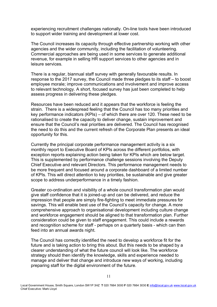experiencing recruitment challenges nationally. On-line tools have been introduced to support wider training and development at lower cost.

The Council increases its capacity through effective partnership working with other agencies and the wider community, including the facilitation of volunteering. Commercial approaches are being used in some services to generate additional revenue, for example in selling HR support services to other agencies and in leisure services.

There is a regular, biannual staff survey with generally favourable results. In response to the 2017 survey, the Council made three pledges to its staff – to boost employee morale; improve communications and involvement and improve access to relevant technology. A short, focused survey has just been completed to help assess progress in delivering these pledges.

Resources have been reduced and it appears that the workforce is feeling the strain. There is a widespread feeling that the Council has too many priorities and key performance indicators (KPIs) – of which there are over 120. These need to be rationalised to create the capacity to deliver change, sustain improvement and ensure that the Council's real priorities are delivered. The Council has recognised the need to do this and the current refresh of the Corporate Plan presents an ideal opportunity for this.

Currently the principal corporate performance management activity is a six monthly report to Executive Board of KPIs across the different portfolios, with exception reports explaining action being taken for KPIs which are below target. This is supplemented by performance challenge sessions involving the Deputy Chief Executive and relevant Directors. This performance management needs to be more frequent and focused around a corporate dashboard of a limited number of KPIs. This will direct attention to key priorities, be sustainable and give greater scope to address underperformance in a timely fashion.

Greater co-ordination and visibility of a whole council transformation plan would give staff confidence that it is joined-up and can be delivered, and reduce the impression that people are simply fire-fighting to meet immediate pressures for savings. This will enable best use of the Council's capacity for change. A more comprehensive approach to organisational development including culture change and workforce engagement should be aligned to that transformation plan. Further consideration could be given to staff engagement. This could include a rewards and recognition scheme for staff - perhaps on a quarterly basis - which can then feed into an annual awards night.

The Council has correctly identified the need to develop a workforce fit for the future and is taking action to bring this about. But this needs to be shaped by a clearer understanding of what the future council will look like. The workforce strategy should then identify the knowledge, skills and experience needed to manage and deliver that change and introduce new ways of working, including preparing staff for the digital environment of the future.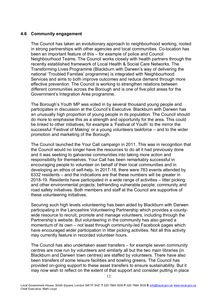#### **4.6 Community engagement**

The Council has taken an evolutionary approach to neighbourhood working, rooted in strong partnerships with other agencies and local communities. Co-location has been an important feature of this – for example of police and Council Neighbourhood Teams. The Council works closely with health partners through the recently established framework of Local Health & Social Care Networks. The Transforming Lives Programme (Blackburn with Darwen's way of delivering the national 'Troubled Families' programme) is integrated with Neighbourhood Services and aims to both improve outcomes and reduce demand through more effective prevention. The Council is working to strengthen relations between different communities across the Borough and is one of five pilot areas for the Government's Integration Area programme.

The Borough's Youth MP was voted in by several thousand young people and participates in discussion at the Council's Executive. Blackburn with Darwen has an unusually high proportion of young people in its population. The Council should do more to emphasise this as a strength and opportunity for the area. This could be linked to other initiatives, for example a 'Festival of Youth' to the mirror the successful 'Festival of Making' or a young volunteers taskforce – and to the wider promotion and marketing of the Borough.

The Council launched the Your Call campaign in 2011. This was in recognition that the Council would no longer have the resources to do all it had previously done and it was seeking to galvanise communities into taking more action and responsibility for themselves. Your Call has been remarkably successful in encouraging people to volunteer on behalf of their local communities and in developing an ethos of self-help. In 2017-18, there were 783 events attended by 6332 residents – and the indications are that these numbers will be greater in 2018-19. Residents have participated in a wide range of activities – litter picking and other environmental projects; befriending vulnerable people; community and road safety initiatives. Both members and staff at the Council are supportive of these volunteering initiatives.

Securing such high levels volunteering has been aided by Blackburn with Darwen participating in the Lancashire Volunteering Partnership which provides a countywide resource to recruit, promote and manage volunteers, including through the Partnership's website. But volunteering in the community has also gained a momentum of its own – not least through community-led Facebook pages which have encouraged wider participation in litter picking activities. Not all this activity may currently feature in recorded volunteer hours.

The Council has also undertaken asset transfers – for example seven community centres are now run by volunteers and similarly all but the two main libraries (in Blackburn and Darwen town centres) are staffed by volunteers. There have also been transfers of some leisure facilities and bowling greens. The Council has provided on-going support to these asset transfers to ensure sustainability. But it may now wish to reflect on the extent of that support and consider putting in place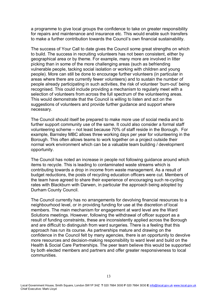a programme to give local groups the confidence to take on greater responsibility for repairs and maintenance and insurance etc. This would enable such transfers to make a further contribution towards the Council's own financial sustainability.

The success of Your Call to date gives the Council some great strengths on which to build. The success in recruiting volunteers has not been consistent, either by geographical area or by theme. For example, many more are involved in litter picking than in some of the more challenging areas (such as befriending vulnerable people, tacking social isolation or working with children and young people). More can still be done to encourage further volunteers (in particular in areas where there are currently fewer volunteers) and to sustain the number of people already participating in such activities, the risk of volunteer 'burn-out' being recognised. This could include providing a mechanism to regularly meet with a selection of volunteers from across the full spectrum of the volunteering areas. This would demonstrate that the Council is willing to listen and act on the suggestions of volunteers and provide further guidance and support where necessary.

The Council should itself be prepared to make more use of social media and to further support community use of the same. It could also consider a formal staff volunteering scheme – not least because 70% of staff reside in the Borough. For example, Barnsley MBC allows three working days per year for volunteering in the Borough. This often allows teams to work together on a project outside their normal work environment which can be a valuable team building / development opportunity.

The Council has noted an increase in people not following guidance around which items to recycle. This is leading to contaminated waste streams which is contributing towards a drop in income from waste management. As a result of budget reductions, the posts of recycling education officers were cut. Members of the team have agreed to share their experience of encouraging such re-cycling rates with Blackburn with Darwen, in particular the approach being adopted by Durham County Council.

The Council currently has no arrangements for devolving financial resources to a neighbourhood level, or in providing funding for use at the discretion of local members. The main mechanism for engagement at ward level are the Ward Solutions meetings. However, following the withdrawal of officer support as a result of funding constraints, these are inconsistently applied across the Borough and are difficult to distinguish from ward surgeries. There is a feeling that this approach has run its course. As partnerships mature and drawing on the confidence in the Council felt by many agencies, there is an opportunity to devolve more resources and decision-making responsibility to ward level and build on the Health & Social Care Partnerships. The peer team believe this would be supported by both elected members and partners and offer greater responsiveness to local communities.

Local Government House, Smith Square, London SW1P 3HZ **T** 020 7664 3000 **F** 020 7664 3030 **E** info@local.gov.uk www.local.gov.uk Chief Executive: Mark Lloyd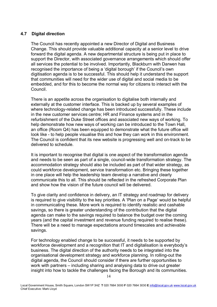#### **4.7 Digital direction**

The Council has recently appointed a new Director of Digital and Business Change. This should provide valuable additional capacity at a senior level to drive forward the digital agenda. A new departmental structure is being put in place to support the Director, with associated governance arrangements which should offer all services the potential to be involved. Importantly, Blackburn with Darwen has recognised the importance of being a 'digital borough' if the Council's own digitisation agenda is to be successful. This should help it understand the support that communities will need for the wider use of digital and social media to be embedded, and for this to become the normal way for citizens to interact with the Council.

There is an appetite across the organisation to digitalise both internally and externally at the customer interface. This is backed up by several examples of where technology-related change has been introduced successfully. These include in the new customer services centre; HR and Finance systems and in the refurbishment of the Duke Street offices and associated new ways of working. To help demonstrate how new ways of working can be introduced to the Town Hall, an office (Room Q4) has been equipped to demonstrate what the future office will look like - to help people visualise this and how they can work in this environment. The Council is confident that its new website is progressing well and on-track to be delivered to schedule.

It is important to recognise that digital is one aspect of the transformation agenda and needs to be seen as part of a single, council-wide transformation strategy. The accommodation strategy should also be included as part of that wider strategy, as could workforce development, service transformation etc. Bringing these together in one place will help the leadership team develop a narrative and clearly communicate this to all. This should be reflected in the refreshed Corporate Plan and show how the vision of the future council will be delivered.

To give clarity and confidence in delivery, an IT strategy and roadmap for delivery is required to give visibility to the key priorities. A 'Plan on a Page' would be helpful in communicating these. More work is required to identify realistic and cashable savings, so there is greater understanding of the contribution that the digital agenda can make to the savings required to balance the budget over the coming years (and the capital investment and revenue funding required to realise these). There will be a need to manage expectations around timescales and achievable savings.

For technology enabled change to be successful, it needs to be supported by workforce development and a recognition that IT and digitalisation is everybody's business. The digital direction of the authority needs to be integrated into the organisational development strategy and workforce planning. In rolling-out the digital agenda, the Council should consider if there are further opportunities to work with partners – including sharing and analysing data to drive out greater insight into how to tackle the challenges facing the Borough and its communities.